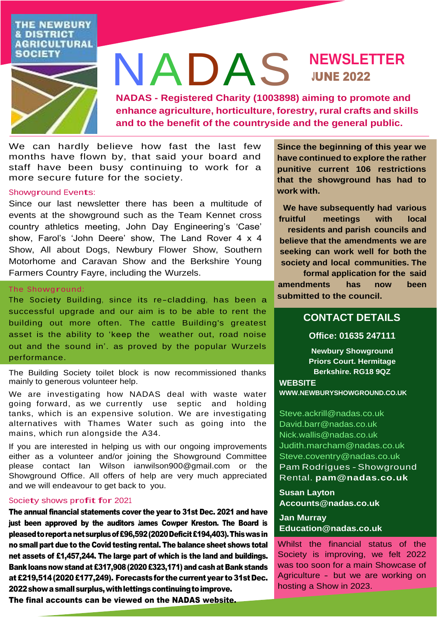## **THE NEWBURY & DISTRICT AGRICULTURAL SOCIETY**



# NADAS **NEWSLETTER** JUNE 2022

**NADAS - Registered Charity (1003898) aiming to promote and enhance agriculture, horticulture, forestry, rural crafts and skills and to the benefit of the countryside and the general public.**

We can hardly believe how fast the last few months have flown by, that said your board and staff have been busy continuing to work for a more secure future for the society.

### Showground Events:

Since our last newsletter there has been a multitude of events at the showground such as the Team Kennet cross country athletics meeting, John Day Engineering's 'Case' show, Farol's 'John Deere' show, The Land Rover 4 x 4 Show, All about Dogs, Newbury Flower Show, Southern Motorhome and Caravan Show and the Berkshire Young Farmers Country Fayre, including the Wurzels.

### The Showground:

The Society Building, since its re-cladding, has been a successful upgrade and our aim is to be able to rent the building out more often. The cattle Building's greatest asset is the ability to 'keep the weather out, road noise out and the sound in'. as proved by the popular Wurzels performance.

The Building Society toilet block is now recommissioned thanks mainly to generous volunteer help.

We are investigating how NADAS deal with waste water going forward, as we currently use septic and holding tanks, which is an expensive solution. We are investigating alternatives with Thames Water such as going into the mains, which run alongside the A34.

If you are interested in helping us with our ongoing improvements either as a volunteer and/or joining the Showground Committee please contact Ian Wilson [ianwilson900@gmail.com](mailto:ianwilson900@gmail.com) or the Showground Office. All offers of help are very much appreciated and we will endeavour to get back to you.

### Society shows profit for <sup>2021</sup>

The annual financial statements cover the year to 31st Dec. 2021 and have just been approved by the auditors lames Cowper Kreston. The Board is pleasedtoreportanetsurplusof£96,592(2020Deficit£194,403).Thiswasin no small part due to the Covid testing rental. The balance sheet shows total net assets of £1,457,244. The large part of which is the land and buildings. Bank loans now stand at £317,908 (2020 £323,171) and cash at Bank stands at£219,514(2020£177,249). Forecastsfor thecurrentyear to 31stDec. 2022 show a small surplus, with lettings continuing to improve.

**Since the beginning of this year we have continued to explore the rather punitive current 106 restrictions that the showground has had to work with.**

**We have subsequently had various fruitful meetings with local residents and parish councils and believe that the amendments we are seeking can work well for both the society and local communities. The** 

**formal application for the said amendments has now been submitted to the council.**

# **CONTACT DETAILS**

# **Office: 01635 247111**

**Newbury Showground Priors Court. Hermitage Berkshire. RG18 9QZ**

### **WEBSITE**

**[WWW.NEWBURYSHOWGROUND.CO.UK](http://www.newburyshowground.co.uk/)**

[Steve.ackrill@nadas.co.uk](mailto:Steve.ackrill@nadas.co.uk) [David.barr@nadas.co.uk](mailto:David.barr@nadas.co.uk) [Nick.wallis@nadas.co.uk](mailto:Nick.wallis@nadas.co.uk) [Judith.marcham@nadas.co.uk](mailto:Judith.marcham@nadas.co.uk) [Steve.coventry@nadas.co.uk](mailto:Steve.coventry@nadas.co.uk) Pam Rodrigues -Showground Rental. **[pam@nadas.co.uk](mailto:pam@nadas.co.uk)**

**Susan Layton [Accounts@nadas.co.uk](mailto:Accounts@nadas.co.uk)**

**Jan Murray [Education@nadas.co.uk](mailto:education@nadas.co.uk)**

Whilst the financial status of the Society is improving, we felt 2022 was too soon for a main Showcase of Agriculture - but we are working on hosting a Show in 2023.

The final accounts can be viewed on the NADAS website.